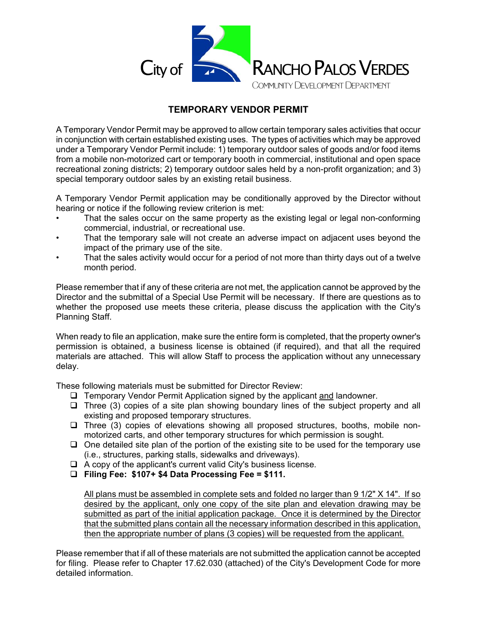

## **TEMPORARY VENDOR PERMIT**

A Temporary Vendor Permit may be approved to allow certain temporary sales activities that occur in conjunction with certain established existing uses. The types of activities which may be approved under a Temporary Vendor Permit include: 1) temporary outdoor sales of goods and/or food items from a mobile non-motorized cart or temporary booth in commercial, institutional and open space recreational zoning districts; 2) temporary outdoor sales held by a non-profit organization; and 3) special temporary outdoor sales by an existing retail business.

A Temporary Vendor Permit application may be conditionally approved by the Director without hearing or notice if the following review criterion is met:

- That the sales occur on the same property as the existing legal or legal non-conforming commercial, industrial, or recreational use.
- That the temporary sale will not create an adverse impact on adjacent uses beyond the impact of the primary use of the site.
- That the sales activity would occur for a period of not more than thirty days out of a twelve month period.

Please remember that if any of these criteria are not met, the application cannot be approved by the Director and the submittal of a Special Use Permit will be necessary. If there are questions as to whether the proposed use meets these criteria, please discuss the application with the City's Planning Staff.

When ready to file an application, make sure the entire form is completed, that the property owner's permission is obtained, a business license is obtained (if required), and that all the required materials are attached. This will allow Staff to process the application without any unnecessary delay.

These following materials must be submitted for Director Review:

- $\Box$  Temporary Vendor Permit Application signed by the applicant and landowner.
- $\Box$  Three (3) copies of a site plan showing boundary lines of the subject property and all existing and proposed temporary structures.
- $\Box$  Three (3) copies of elevations showing all proposed structures, booths, mobile nonmotorized carts, and other temporary structures for which permission is sought.
- $\Box$  One detailed site plan of the portion of the existing site to be used for the temporary use (i.e., structures, parking stalls, sidewalks and driveways).
- $\Box$  A copy of the applicant's current valid City's business license.
- **Filing Fee: \$107+ \$4 Data Processing Fee = \$111.**

All plans must be assembled in complete sets and folded no larger than 9 1/2" X 14". If so desired by the applicant, only one copy of the site plan and elevation drawing may be submitted as part of the initial application package. Once it is determined by the Director that the submitted plans contain all the necessary information described in this application, then the appropriate number of plans (3 copies) will be requested from the applicant.

Please remember that if all of these materials are not submitted the application cannot be accepted for filing. Please refer to Chapter 17.62.030 (attached) of the City's Development Code for more detailed information.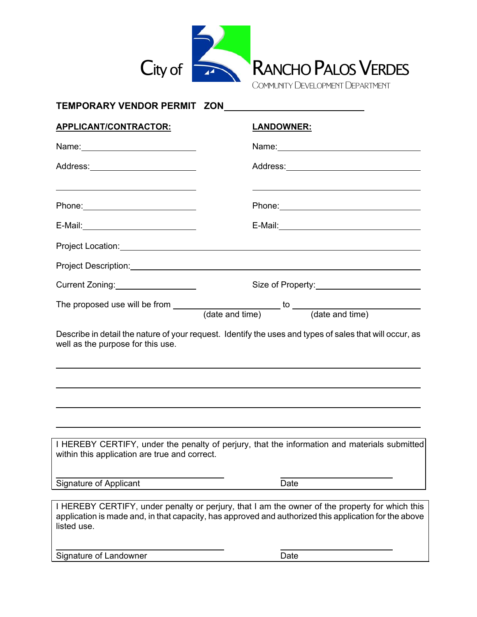

| TEMPORARY VENDOR PERMIT ZON                                                                                           |                                                                                                                                                                                                         |
|-----------------------------------------------------------------------------------------------------------------------|---------------------------------------------------------------------------------------------------------------------------------------------------------------------------------------------------------|
| <b>APPLICANT/CONTRACTOR:</b>                                                                                          | <u>LANDOWNER:</u>                                                                                                                                                                                       |
| Name: 2008 2010 2021 2022 2023 2024 2022 2022 2023 2024 2022 2023 2024 2022 2023 2024 2022 2023 2024 2022 2023        |                                                                                                                                                                                                         |
| Address: ___________________________                                                                                  |                                                                                                                                                                                                         |
| <u> 1989 - Johann Stoff, deutscher Stoff, der Stoff, der Stoff, der Stoff, der Stoff, der Stoff, der Stoff, der S</u> | <u> 1989 - Johann Stoff, deutscher Stoff, der Stoff, der Stoff, der Stoff, der Stoff, der Stoff, der Stoff, der S</u>                                                                                   |
|                                                                                                                       |                                                                                                                                                                                                         |
| Project Location: Network and Contract to the Contract of the Contract of the Contract of the Contract of the         |                                                                                                                                                                                                         |
|                                                                                                                       |                                                                                                                                                                                                         |
| Current Zoning: 1997                                                                                                  |                                                                                                                                                                                                         |
|                                                                                                                       | The proposed use will be from $\frac{1}{\text{(date and time)}}$ to $\frac{1}{\text{(date and time)}}$                                                                                                  |
| well as the purpose for this use.                                                                                     |                                                                                                                                                                                                         |
|                                                                                                                       |                                                                                                                                                                                                         |
| within this application are true and correct.                                                                         | I HEREBY CERTIFY, under the penalty of perjury, that the information and materials submitted                                                                                                            |
| <b>Signature of Applicant</b>                                                                                         | Date                                                                                                                                                                                                    |
| listed use.                                                                                                           | I HEREBY CERTIFY, under penalty or perjury, that I am the owner of the property for which this<br>application is made and, in that capacity, has approved and authorized this application for the above |

Signature of Landowner **Date**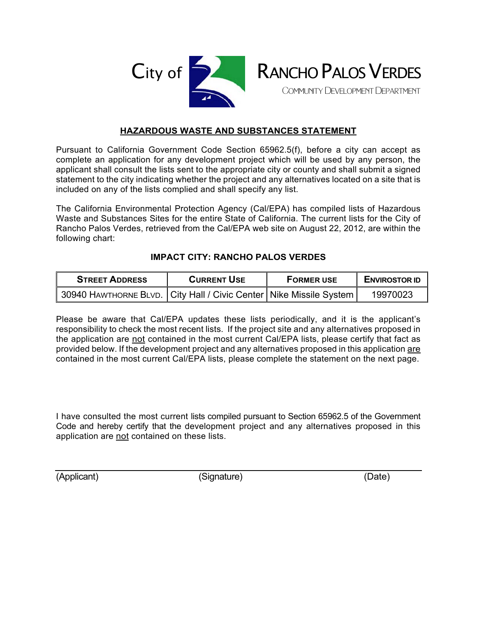



## **HAZARDOUS WASTE AND SUBSTANCES STATEMENT**

Pursuant to California Government Code Section 65962.5(f), before a city can accept as complete an application for any development project which will be used by any person, the applicant shall consult the lists sent to the appropriate city or county and shall submit a signed statement to the city indicating whether the project and any alternatives located on a site that is included on any of the lists complied and shall specify any list.

The California Environmental Protection Agency (Cal/EPA) has compiled lists of Hazardous Waste and Substances Sites for the entire State of California. The current lists for the City of Rancho Palos Verdes, retrieved from the Cal/EPA web site on August 22, 2012, are within the following chart:

## **IMPACT CITY: RANCHO PALOS VERDES**

| <b>STREET ADDRESS</b> | <b>CURRENT USE</b> | <b>FORMER USE</b> | <b>ENVIROSTOR ID</b> |
|-----------------------|--------------------|-------------------|----------------------|
|                       |                    |                   | 19970023             |

Please be aware that Cal/EPA updates these lists periodically, and it is the applicant's responsibility to check the most recent lists. If the project site and any alternatives proposed in the application are not contained in the most current Cal/EPA lists, please certify that fact as provided below. If the development project and any alternatives proposed in this application are contained in the most current Cal/EPA lists, please complete the statement on the next page.

I have consulted the most current lists compiled pursuant to Section 65962.5 of the Government Code and hereby certify that the development project and any alternatives proposed in this application are not contained on these lists.

(Applicant) (Signature) (Date)